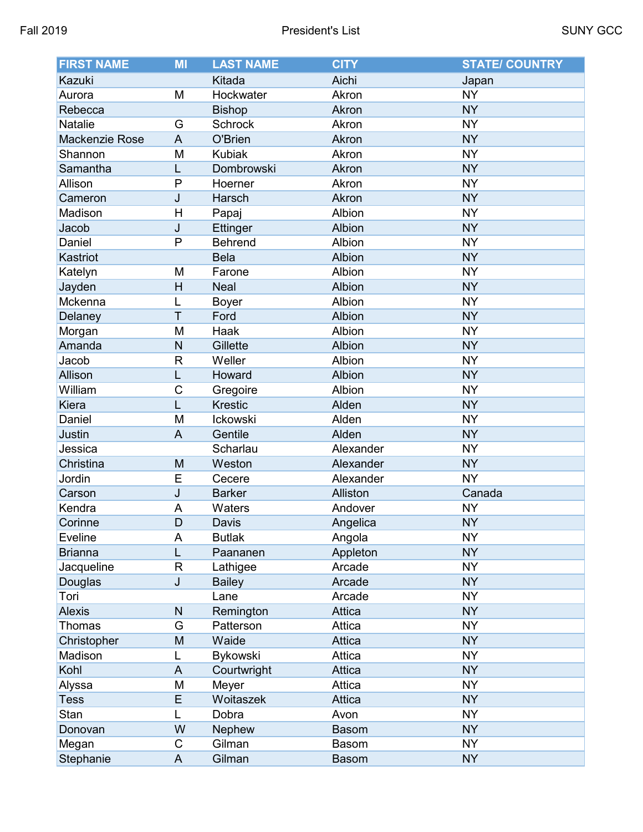| <b>FIRST NAME</b> | <b>MI</b>    | <b>LAST NAME</b> | <b>CITY</b>  | <b>STATE/ COUNTRY</b> |
|-------------------|--------------|------------------|--------------|-----------------------|
| Kazuki            |              | Kitada           | Aichi        | Japan                 |
| Aurora            | M            | Hockwater        | Akron        | <b>NY</b>             |
| Rebecca           |              | <b>Bishop</b>    | Akron        | <b>NY</b>             |
| Natalie           | G            | <b>Schrock</b>   | Akron        | <b>NY</b>             |
| Mackenzie Rose    | A            | O'Brien          | Akron        | <b>NY</b>             |
| Shannon           | M            | <b>Kubiak</b>    | Akron        | <b>NY</b>             |
| Samantha          | L            | Dombrowski       | Akron        | <b>NY</b>             |
| Allison           | P            | Hoerner          | Akron        | <b>NY</b>             |
| Cameron           | J            | Harsch           | Akron        | <b>NY</b>             |
| Madison           | Н            | Papaj            | Albion       | <b>NY</b>             |
| Jacob             | J            | Ettinger         | Albion       | <b>NY</b>             |
| Daniel            | P            | <b>Behrend</b>   | Albion       | <b>NY</b>             |
| Kastriot          |              | <b>Bela</b>      | Albion       | <b>NY</b>             |
| Katelyn           | M            | Farone           | Albion       | <b>NY</b>             |
| Jayden            | H            | <b>Neal</b>      | Albion       | <b>NY</b>             |
| Mckenna           | L            | <b>Boyer</b>     | Albion       | <b>NY</b>             |
| Delaney           | T            | Ford             | Albion       | <b>NY</b>             |
| Morgan            | M            | Haak             | Albion       | <b>NY</b>             |
| Amanda            | N            | Gillette         | Albion       | <b>NY</b>             |
| Jacob             | $\mathsf R$  | Weller           | Albion       | <b>NY</b>             |
| Allison           | L            | Howard           | Albion       | <b>NY</b>             |
| William           | $\mathsf C$  | Gregoire         | Albion       | <b>NY</b>             |
| Kiera             | L            | <b>Krestic</b>   | Alden        | <b>NY</b>             |
| Daniel            | M            | Ickowski         | Alden        | <b>NY</b>             |
| Justin            | A            | Gentile          | Alden        | <b>NY</b>             |
| Jessica           |              | Scharlau         | Alexander    | <b>NY</b>             |
| Christina         | M            | Weston           | Alexander    | <b>NY</b>             |
| Jordin            | E            | Cecere           | Alexander    | <b>NY</b>             |
| Carson            | J            | <b>Barker</b>    | Alliston     | Canada                |
| Kendra            | A            | Waters           | Andover      | <b>NY</b>             |
| Corinne           | D            | Davis            | Angelica     | <b>NY</b>             |
| Eveline           | A            | <b>Butlak</b>    | Angola       | <b>NY</b>             |
| <b>Brianna</b>    | L            | Paananen         | Appleton     | <b>NY</b>             |
| Jacqueline        | $\mathsf R$  | Lathigee         | Arcade       | <b>NY</b>             |
| Douglas           | J            | <b>Bailey</b>    | Arcade       | <b>NY</b>             |
| Tori              |              | Lane             | Arcade       | <b>NY</b>             |
| <b>Alexis</b>     | $\mathsf{N}$ | Remington        | Attica       | <b>NY</b>             |
| Thomas            | G            | Patterson        | Attica       | <b>NY</b>             |
| Christopher       | M            | Waide            | Attica       | <b>NY</b>             |
| Madison           | L            | <b>Bykowski</b>  | Attica       | <b>NY</b>             |
| Kohl              | A            | Courtwright      | Attica       | <b>NY</b>             |
| Alyssa            | M            | Meyer            | Attica       | <b>NY</b>             |
| <b>Tess</b>       | E            | Woitaszek        | Attica       | <b>NY</b>             |
| Stan              | L            | Dobra            | Avon         | <b>NY</b>             |
| Donovan           | W            | <b>Nephew</b>    | <b>Basom</b> | <b>NY</b>             |
| Megan             | С            | Gilman           | Basom        | <b>NY</b>             |
| Stephanie         | A            | Gilman           | <b>Basom</b> | <b>NY</b>             |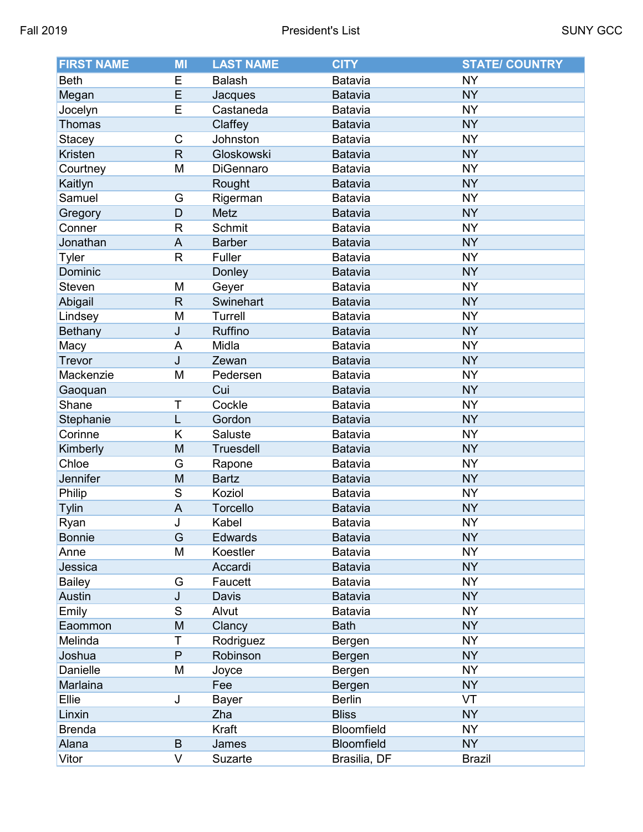| <b>FIRST NAME</b> | MI                        | <b>LAST NAME</b> | <b>CITY</b>       | <b>STATE/ COUNTRY</b> |
|-------------------|---------------------------|------------------|-------------------|-----------------------|
| <b>Beth</b>       | E                         | <b>Balash</b>    | Batavia           | <b>NY</b>             |
| Megan             | E                         | Jacques          | <b>Batavia</b>    | <b>NY</b>             |
| Jocelyn           | E                         | Castaneda        | Batavia           | <b>NY</b>             |
| Thomas            |                           | Claffey          | <b>Batavia</b>    | <b>NY</b>             |
| <b>Stacey</b>     | С                         | Johnston         | Batavia           | <b>NY</b>             |
| Kristen           | $\mathsf{R}$              | Gloskowski       | <b>Batavia</b>    | <b>NY</b>             |
| Courtney          | M                         | DiGennaro        | Batavia           | <b>NY</b>             |
| Kaitlyn           |                           | Rought           | <b>Batavia</b>    | <b>NY</b>             |
| Samuel            | G                         | Rigerman         | Batavia           | <b>NY</b>             |
| Gregory           | D                         | Metz             | <b>Batavia</b>    | <b>NY</b>             |
| Conner            | R                         | Schmit           | Batavia           | <b>NY</b>             |
| Jonathan          | A                         | <b>Barber</b>    | Batavia           | <b>NY</b>             |
| <b>Tyler</b>      | $\mathsf{R}$              | Fuller           | Batavia           | <b>NY</b>             |
| Dominic           |                           | Donley           | <b>Batavia</b>    | <b>NY</b>             |
| Steven            | M                         | Geyer            | Batavia           | <b>NY</b>             |
| Abigail           | $\mathsf{R}% _{T}$        | Swinehart        | <b>Batavia</b>    | <b>NY</b>             |
| Lindsey           | M                         | Turrell          | Batavia           | <b>NY</b>             |
| <b>Bethany</b>    | J                         | Ruffino          | <b>Batavia</b>    | <b>NY</b>             |
| Macy              | A                         | Midla            | Batavia           | <b>NY</b>             |
| Trevor            | J                         | Zewan            | <b>Batavia</b>    | <b>NY</b>             |
| Mackenzie         | M                         | Pedersen         | Batavia           | <b>NY</b>             |
| Gaoquan           |                           | Cui              | <b>Batavia</b>    | <b>NY</b>             |
| Shane             | Τ                         | Cockle           | Batavia           | <b>NY</b>             |
| Stephanie         | L                         | Gordon           | Batavia           | <b>NY</b>             |
| Corinne           | Κ                         | Saluste          | Batavia           | <b>NY</b>             |
| Kimberly          | M                         | <b>Truesdell</b> | <b>Batavia</b>    | <b>NY</b>             |
| Chloe             | G                         | Rapone           | Batavia           | <b>NY</b>             |
| Jennifer          | M                         | <b>Bartz</b>     | <b>Batavia</b>    | <b>NY</b>             |
| Philip            | S                         | Koziol           | Batavia           | <b>NY</b>             |
| <b>Tylin</b>      | $\boldsymbol{\mathsf{A}}$ | Torcello         | <b>Batavia</b>    | <b>NY</b>             |
| Ryan              | J                         | Kabel            | Batavia           | <b>NY</b>             |
| <b>Bonnie</b>     | G                         | Edwards          | Batavia           | <b>NY</b>             |
| Anne              | M                         | Koestler         | Batavia           | <b>NY</b>             |
| Jessica           |                           | Accardi          | Batavia           | <b>NY</b>             |
| <b>Bailey</b>     | G                         | Faucett          | Batavia           | <b>NY</b>             |
| <b>Austin</b>     | J                         | Davis            | Batavia           | <b>NY</b>             |
| Emily             | S                         | Alvut            | Batavia           | <b>NY</b>             |
| Eaommon           | M                         | Clancy           | <b>Bath</b>       | <b>NY</b>             |
| Melinda           | Τ                         | Rodriguez        | Bergen            | <b>NY</b>             |
| Joshua            | P                         | Robinson         | Bergen            | <b>NY</b>             |
| Danielle          | M                         | Joyce            | Bergen            | <b>NY</b>             |
| Marlaina          |                           | Fee              | Bergen            | <b>NY</b>             |
| Ellie             | J                         | Bayer            | <b>Berlin</b>     | VT                    |
| Linxin            |                           | Zha              | <b>Bliss</b>      | <b>NY</b>             |
| <b>Brenda</b>     |                           | Kraft            | Bloomfield        | <b>NY</b>             |
| Alana             | B                         | James            | <b>Bloomfield</b> | <b>NY</b>             |
| Vitor             | V                         | Suzarte          | Brasilia, DF      | <b>Brazil</b>         |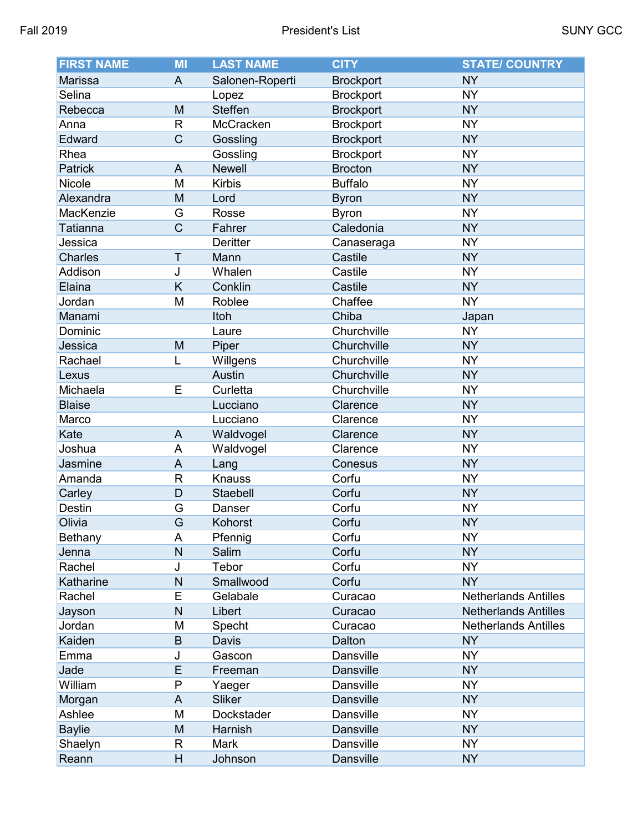| <b>FIRST NAME</b> | MI             | <b>LAST NAME</b> | <b>CITY</b>      | <b>STATE/ COUNTRY</b>       |
|-------------------|----------------|------------------|------------------|-----------------------------|
| Marissa           | $\overline{A}$ | Salonen-Roperti  | <b>Brockport</b> | <b>NY</b>                   |
| Selina            |                | Lopez            | <b>Brockport</b> | <b>NY</b>                   |
| Rebecca           | M              | <b>Steffen</b>   | <b>Brockport</b> | <b>NY</b>                   |
| Anna              | $\mathsf{R}$   | McCracken        | <b>Brockport</b> | <b>NY</b>                   |
| Edward            | C              | Gossling         | <b>Brockport</b> | <b>NY</b>                   |
| Rhea              |                | Gossling         | <b>Brockport</b> | <b>NY</b>                   |
| Patrick           | $\overline{A}$ | <b>Newell</b>    | <b>Brocton</b>   | <b>NY</b>                   |
| Nicole            | M              | <b>Kirbis</b>    | <b>Buffalo</b>   | <b>NY</b>                   |
| Alexandra         | M              | Lord             | <b>Byron</b>     | <b>NY</b>                   |
| MacKenzie         | G              | Rosse            | <b>Byron</b>     | <b>NY</b>                   |
| Tatianna          | $\mathsf C$    | Fahrer           | Caledonia        | <b>NY</b>                   |
| Jessica           |                | <b>Deritter</b>  | Canaseraga       | <b>NY</b>                   |
| <b>Charles</b>    | $\mathsf T$    | Mann             | Castile          | <b>NY</b>                   |
| Addison           | J              | Whalen           | Castile          | <b>NY</b>                   |
| Elaina            | K              | Conklin          | Castile          | <b>NY</b>                   |
| Jordan            | M              | Roblee           | Chaffee          | <b>NY</b>                   |
| Manami            |                | Itoh             | Chiba            | Japan                       |
| Dominic           |                | Laure            | Churchville      | <b>NY</b>                   |
| Jessica           | M              | Piper            | Churchville      | <b>NY</b>                   |
| Rachael           | L              | Willgens         | Churchville      | <b>NY</b>                   |
| Lexus             |                | <b>Austin</b>    | Churchville      | <b>NY</b>                   |
| Michaela          | E              | Curletta         | Churchville      | <b>NY</b>                   |
| <b>Blaise</b>     |                | Lucciano         | Clarence         | <b>NY</b>                   |
| Marco             |                | Lucciano         | Clarence         | <b>NY</b>                   |
| Kate              | $\overline{A}$ | Waldvogel        | Clarence         | <b>NY</b>                   |
| Joshua            | A              | Waldvogel        | Clarence         | <b>NY</b>                   |
| Jasmine           | $\overline{A}$ | Lang             | Conesus          | <b>NY</b>                   |
| Amanda            | $\mathsf{R}$   | <b>Knauss</b>    | Corfu            | <b>NY</b>                   |
| Carley            | D              | Staebell         | Corfu            | <b>NY</b>                   |
| Destin            | G              | Danser           | Corfu            | <b>NY</b>                   |
| Olivia            | Ġ              | Kohorst          | Corfu            | <b>NY</b>                   |
| Bethany           | A              | Pfennig          | Corfu            | <b>NY</b>                   |
| Jenna             | $\mathsf{N}$   | Salim            | Corfu            | <b>NY</b>                   |
| Rachel            | J              | Tebor            | Corfu            | <b>NY</b>                   |
| Katharine         | $\mathsf{N}$   | Smallwood        | Corfu            | <b>NY</b>                   |
| Rachel            | E              | Gelabale         | Curacao          | <b>Netherlands Antilles</b> |
| Jayson            | $\mathsf{N}$   | Libert           | Curacao          | <b>Netherlands Antilles</b> |
| Jordan            | M              | Specht           | Curacao          | <b>Netherlands Antilles</b> |
| Kaiden            | $\sf B$        | Davis            | Dalton           | <b>NY</b>                   |
| Emma              | J              | Gascon           | Dansville        | <b>NY</b>                   |
| Jade              | E              | Freeman          | <b>Dansville</b> | <b>NY</b>                   |
| William           | P              | Yaeger           | Dansville        | <b>NY</b>                   |
| Morgan            | A              | <b>Sliker</b>    | <b>Dansville</b> | <b>NY</b>                   |
| Ashlee            | M              | Dockstader       | Dansville        | <b>NY</b>                   |
| <b>Baylie</b>     | M              | Harnish          | <b>Dansville</b> | <b>NY</b>                   |
| Shaelyn           | R              | <b>Mark</b>      | Dansville        | <b>NY</b>                   |
| Reann             | H              | Johnson          | Dansville        | <b>NY</b>                   |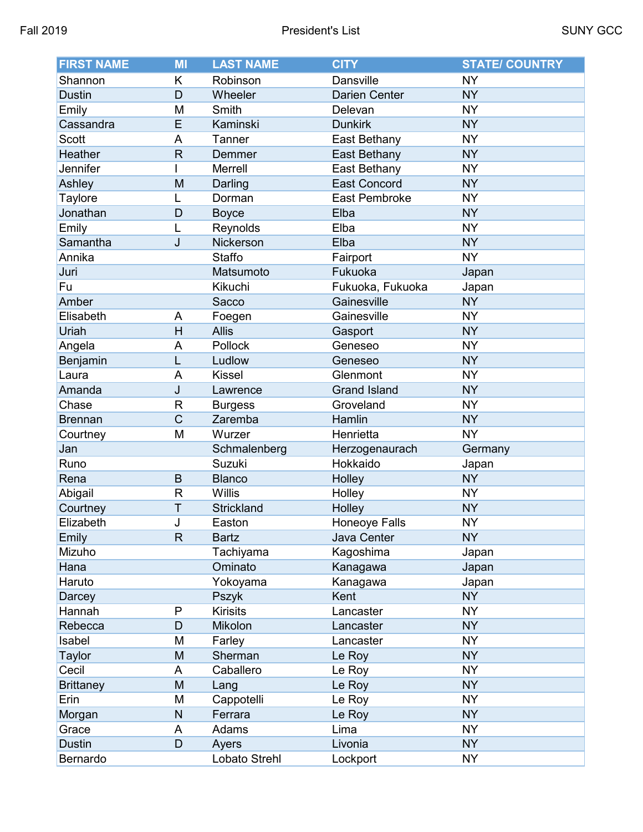| <b>FIRST NAME</b> | MI             | <b>LAST NAME</b> | <b>CITY</b>          | <b>STATE/ COUNTRY</b> |
|-------------------|----------------|------------------|----------------------|-----------------------|
| Shannon           | Κ              | Robinson         | <b>Dansville</b>     | <b>NY</b>             |
| <b>Dustin</b>     | D              | Wheeler          | <b>Darien Center</b> | <b>NY</b>             |
| Emily             | M              | Smith            | Delevan              | <b>NY</b>             |
| Cassandra         | E              | Kaminski         | <b>Dunkirk</b>       | <b>NY</b>             |
| <b>Scott</b>      | A              | Tanner           | East Bethany         | <b>NY</b>             |
| Heather           | $\mathsf{R}$   | Demmer           | East Bethany         | <b>NY</b>             |
| Jennifer          |                | Merrell          | East Bethany         | <b>NY</b>             |
| Ashley            | M              | Darling          | <b>East Concord</b>  | <b>NY</b>             |
| Taylore           |                | Dorman           | East Pembroke        | <b>NY</b>             |
| Jonathan          | D              | <b>Boyce</b>     | Elba                 | <b>NY</b>             |
| Emily             | L              | Reynolds         | Elba                 | <b>NY</b>             |
| Samantha          | J              | Nickerson        | Elba                 | <b>NY</b>             |
| Annika            |                | <b>Staffo</b>    | Fairport             | <b>NY</b>             |
| Juri              |                | Matsumoto        | Fukuoka              | Japan                 |
| Fu                |                | Kikuchi          | Fukuoka, Fukuoka     | Japan                 |
| Amber             |                | Sacco            | Gainesville          | <b>NY</b>             |
| Elisabeth         | A              | Foegen           | Gainesville          | <b>NY</b>             |
| Uriah             | H              | <b>Allis</b>     | Gasport              | <b>NY</b>             |
| Angela            | A              | Pollock          | Geneseo              | <b>NY</b>             |
| Benjamin          | L              | Ludlow           | Geneseo              | <b>NY</b>             |
| Laura             | A              | <b>Kissel</b>    | Glenmont             | <b>NY</b>             |
| Amanda            | J              | Lawrence         | <b>Grand Island</b>  | <b>NY</b>             |
| Chase             | R              | <b>Burgess</b>   | Groveland            | <b>NY</b>             |
| <b>Brennan</b>    | $\overline{C}$ | Zaremba          | Hamlin               | <b>NY</b>             |
| Courtney          | M              | Wurzer           | Henrietta            | <b>NY</b>             |
| Jan               |                | Schmalenberg     | Herzogenaurach       | Germany               |
| Runo              |                | Suzuki           | Hokkaido             | Japan                 |
| Rena              | $\mathsf B$    | <b>Blanco</b>    | Holley               | <b>NY</b>             |
| Abigail           | R              | Willis           | Holley               | <b>NY</b>             |
| Courtney          | T              | Strickland       | Holley               | <b>NY</b>             |
| Elizabeth         | J              | Easton           | <b>Honeoye Falls</b> | <b>NY</b>             |
| Emily             | $\mathsf{R}$   | <b>Bartz</b>     | Java Center          | <b>NY</b>             |
| Mizuho            |                | Tachiyama        | Kagoshima            | Japan                 |
| Hana              |                | Ominato          | Kanagawa             | Japan                 |
| Haruto            |                | Yokoyama         | Kanagawa             | Japan                 |
| Darcey            |                | Pszyk            | Kent                 | <b>NY</b>             |
| Hannah            | P              | <b>Kirisits</b>  | Lancaster            | <b>NY</b>             |
| Rebecca           | D              | Mikolon          | Lancaster            | <b>NY</b>             |
| Isabel            | M              | Farley           | Lancaster            | <b>NY</b>             |
| Taylor            | M              | Sherman          | Le Roy               | <b>NY</b>             |
| Cecil             | A              | Caballero        | Le Roy               | <b>NY</b>             |
| <b>Brittaney</b>  | M              | Lang             | Le Roy               | <b>NY</b>             |
| Erin              | M              | Cappotelli       | Le Roy               | <b>NY</b>             |
| Morgan            | ${\sf N}$      | Ferrara          | Le Roy               | <b>NY</b>             |
| Grace             | A              | Adams            | Lima                 | <b>NY</b>             |
| <b>Dustin</b>     | D              | Ayers            | Livonia              | <b>NY</b>             |
| Bernardo          |                | Lobato Strehl    | Lockport             | <b>NY</b>             |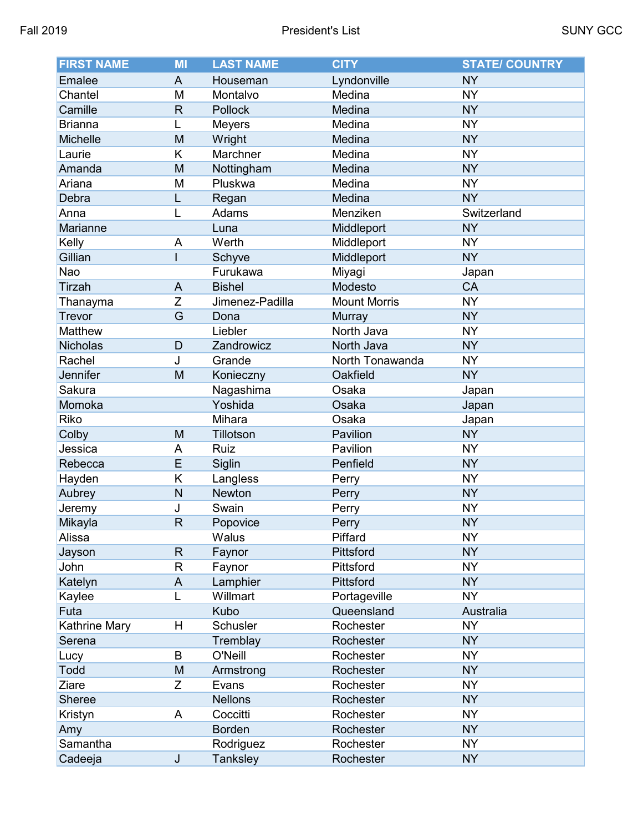| <b>FIRST NAME</b> | MI             | <b>LAST NAME</b> | <b>CITY</b>         | <b>STATE/ COUNTRY</b> |
|-------------------|----------------|------------------|---------------------|-----------------------|
| Emalee            | A              | Houseman         | Lyndonville         | <b>NY</b>             |
| Chantel           | M              | Montalvo         | Medina              | <b>NY</b>             |
| Camille           | $\mathsf{R}$   | Pollock          | Medina              | <b>NY</b>             |
| <b>Brianna</b>    | L              | <b>Meyers</b>    | Medina              | <b>NY</b>             |
| Michelle          | M              | Wright           | Medina              | <b>NY</b>             |
| Laurie            | K              | Marchner         | Medina              | <b>NY</b>             |
| Amanda            | M              | Nottingham       | Medina              | <b>NY</b>             |
| Ariana            | M              | Pluskwa          | Medina              | <b>NY</b>             |
| Debra             | L              | Regan            | Medina              | <b>NY</b>             |
| Anna              | L              | Adams            | Menziken            | Switzerland           |
| Marianne          |                | Luna             | Middleport          | <b>NY</b>             |
| Kelly             | A              | Werth            | Middleport          | <b>NY</b>             |
| Gillian           |                | Schyve           | Middleport          | <b>NY</b>             |
| Nao               |                | Furukawa         | Miyagi              | Japan                 |
| <b>Tirzah</b>     | A              | <b>Bishel</b>    | Modesto             | CA                    |
| Thanayma          | Z              | Jimenez-Padilla  | <b>Mount Morris</b> | <b>NY</b>             |
| <b>Trevor</b>     | G              | Dona             | Murray              | <b>NY</b>             |
| Matthew           |                | Liebler          | North Java          | <b>NY</b>             |
| Nicholas          | D              | Zandrowicz       | North Java          | <b>NY</b>             |
| Rachel            | J              | Grande           | North Tonawanda     | <b>NY</b>             |
| Jennifer          | M              | Konieczny        | Oakfield            | <b>NY</b>             |
| Sakura            |                | Nagashima        | Osaka               | Japan                 |
| Momoka            |                | Yoshida          | Osaka               | Japan                 |
| Riko              |                | Mihara           | Osaka               | Japan                 |
| Colby             | M              | Tillotson        | Pavilion            | <b>NY</b>             |
| Jessica           | A              | Ruiz             | Pavilion            | <b>NY</b>             |
| Rebecca           | E              | Siglin           | Penfield            | <b>NY</b>             |
| Hayden            | Κ              | Langless         | Perry               | <b>NY</b>             |
| Aubrey            | N              | Newton           | Perry               | <b>NY</b>             |
| Jeremy            | J              | Swain            | Perry               | <b>NY</b>             |
| Mikayla           | $\overline{R}$ | Popovice         | Perry               | <b>NY</b>             |
| Alissa            |                | Walus            | Piffard             | <b>NY</b>             |
| Jayson            | $\mathsf{R}$   | Faynor           | Pittsford           | <b>NY</b>             |
| John              | R              | Faynor           | Pittsford           | <b>NY</b>             |
| Katelyn           | A              | Lamphier         | Pittsford           | <b>NY</b>             |
| Kaylee            | L              | Willmart         | Portageville        | <b>NY</b>             |
| Futa              |                | Kubo             | Queensland          | Australia             |
| Kathrine Mary     | н              | Schusler         | Rochester           | <b>NY</b>             |
| Serena            |                | Tremblay         | Rochester           | <b>NY</b>             |
| Lucy              | B              | O'Neill          | Rochester           | <b>NY</b>             |
| Todd              | M              | Armstrong        | Rochester           | <b>NY</b>             |
| Ziare             | Z              | Evans            | Rochester           | <b>NY</b>             |
| <b>Sheree</b>     |                | <b>Nellons</b>   | Rochester           | <b>NY</b>             |
| Kristyn           | A              | Coccitti         | Rochester           | <b>NY</b>             |
| Amy               |                | <b>Borden</b>    | Rochester           | <b>NY</b>             |
| Samantha          |                | Rodriguez        | Rochester           | <b>NY</b>             |
| Cadeeja           | J              | <b>Tanksley</b>  | Rochester           | <b>NY</b>             |
|                   |                |                  |                     |                       |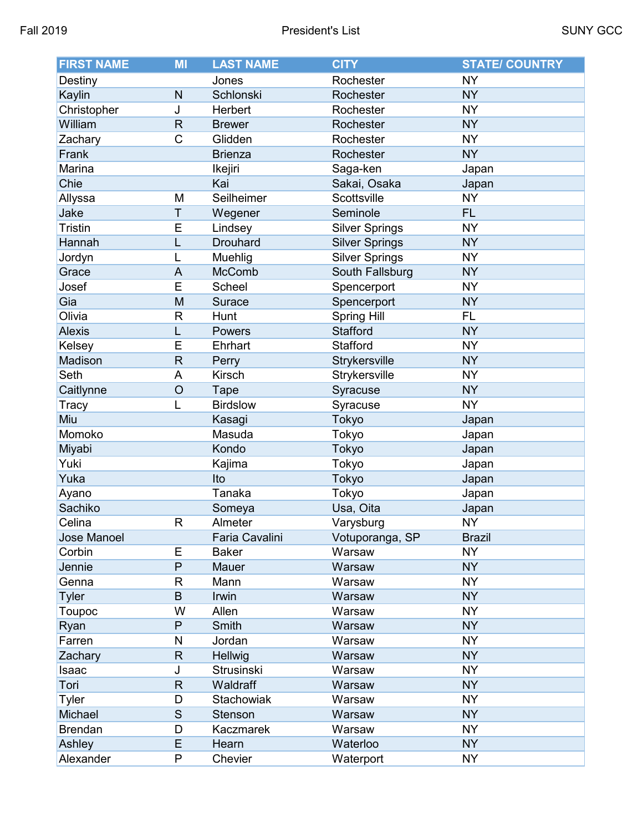| <b>FIRST NAME</b> | MI                 | <b>LAST NAME</b> | <b>CITY</b>           | <b>STATE/ COUNTRY</b> |
|-------------------|--------------------|------------------|-----------------------|-----------------------|
| Destiny           |                    | Jones            | Rochester             | <b>NY</b>             |
| Kaylin            | $\mathsf{N}$       | Schlonski        | Rochester             | <b>NY</b>             |
| Christopher       | J                  | Herbert          | Rochester             | <b>NY</b>             |
| William           | $\mathsf{R}% _{T}$ | <b>Brewer</b>    | Rochester             | <b>NY</b>             |
| Zachary           | C                  | Glidden          | Rochester             | <b>NY</b>             |
| Frank             |                    | <b>Brienza</b>   | Rochester             | <b>NY</b>             |
| Marina            |                    | Ikejiri          | Saga-ken              | Japan                 |
| Chie              |                    | Kai              | Sakai, Osaka          | Japan                 |
| Allyssa           | M                  | Seilheimer       | Scottsville           | <b>NY</b>             |
| Jake              | T                  | Wegener          | Seminole              | <b>FL</b>             |
| <b>Tristin</b>    | E                  | Lindsey          | <b>Silver Springs</b> | <b>NY</b>             |
| Hannah            | L                  | <b>Drouhard</b>  | <b>Silver Springs</b> | <b>NY</b>             |
| Jordyn            | L                  | Muehlig          | <b>Silver Springs</b> | <b>NY</b>             |
| Grace             | A                  | <b>McComb</b>    | South Fallsburg       | <b>NY</b>             |
| Josef             | E                  | <b>Scheel</b>    | Spencerport           | <b>NY</b>             |
| Gia               | M                  | Surace           | Spencerport           | <b>NY</b>             |
| Olivia            | R                  | Hunt             | <b>Spring Hill</b>    | <b>FL</b>             |
| <b>Alexis</b>     | Ĺ                  | <b>Powers</b>    | <b>Stafford</b>       | <b>NY</b>             |
| Kelsey            | E                  | Ehrhart          | Stafford              | <b>NY</b>             |
| Madison           | $\mathsf{R}$       | Perry            | Strykersville         | <b>NY</b>             |
| Seth              | A                  | Kirsch           | Strykersville         | <b>NY</b>             |
| Caitlynne         | O                  | <b>Tape</b>      | Syracuse              | <b>NY</b>             |
| <b>Tracy</b>      | L                  | <b>Birdslow</b>  | Syracuse              | <b>NY</b>             |
| Miu               |                    | Kasagi           | Tokyo                 | Japan                 |
| Momoko            |                    | Masuda           | Tokyo                 | Japan                 |
| Miyabi            |                    | Kondo            | Tokyo                 | Japan                 |
| Yuki              |                    | Kajima           | Tokyo                 | Japan                 |
| Yuka              |                    | Ito              | Tokyo                 | Japan                 |
| Ayano             |                    | Tanaka           | Tokyo                 | Japan                 |
| Sachiko           |                    | Someya           | Usa, Oita             | Japan                 |
| Celina            | R                  | Almeter          | Varysburg             | <b>NY</b>             |
| Jose Manoel       |                    | Faria Cavalini   | Votuporanga, SP       | <b>Brazil</b>         |
| Corbin            | E                  | <b>Baker</b>     | Warsaw                | <b>NY</b>             |
| Jennie            | P                  | Mauer            | Warsaw                | NY <sub></sub>        |
| Genna             | R                  | Mann             | Warsaw                | <b>NY</b>             |
| <b>Tyler</b>      | B                  | Irwin            | Warsaw                | <b>NY</b>             |
| Toupoc            | W                  | Allen            | Warsaw                | <b>NY</b>             |
| Ryan              | P                  | Smith            | Warsaw                | <b>NY</b>             |
| Farren            | N                  | Jordan           | Warsaw                | <b>NY</b>             |
| Zachary           | $\mathsf R$        | Hellwig          | Warsaw                | <b>NY</b>             |
| Isaac             | J                  | Strusinski       | Warsaw                | <b>NY</b>             |
| Tori              | ${\sf R}$          | Waldraff         | Warsaw                | <b>NY</b>             |
| Tyler             | D                  | Stachowiak       | Warsaw                | <b>NY</b>             |
| Michael           | $\mathsf S$        | Stenson          | Warsaw                | <b>NY</b>             |
| <b>Brendan</b>    | D                  | Kaczmarek        | Warsaw                | <b>NY</b>             |
| Ashley            | E                  | Hearn            | Waterloo              | <b>NY</b>             |
| Alexander         | P                  | Chevier          | Waterport             | <b>NY</b>             |